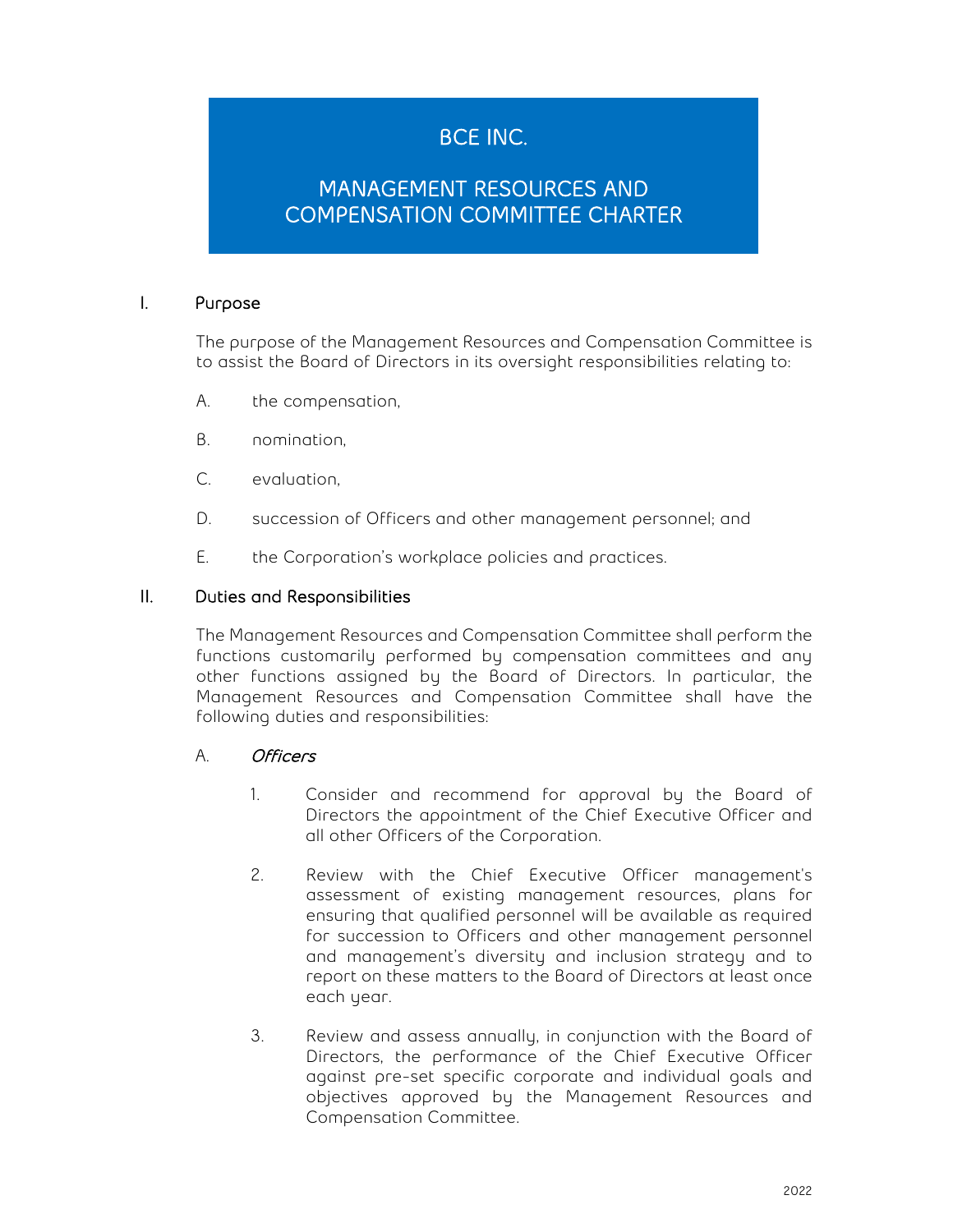# BCE INC.

## MANAGEMENT RESOURCES AND COMPENSATION COMMITTEE CHARTER

#### I. Purpose

The purpose of the Management Resources and Compensation Committee is to assist the Board of Directors in its oversight responsibilities relating to:

- A. the compensation,
- B. nomination,
- C. evaluation,
- D. succession of Officers and other management personnel; and
- E. the Corporation's workplace policies and practices.

#### II. Duties and Responsibilities

The Management Resources and Compensation Committee shall perform the functions customarily performed by compensation committees and any other functions assigned by the Board of Directors. In particular, the Management Resources and Compensation Committee shall have the following duties and responsibilities:

## A. Officers

- 1. Consider and recommend for approval by the Board of Directors the appointment of the Chief Executive Officer and all other Officers of the Corporation.
- 2. Review with the Chief Executive Officer management's assessment of existing management resources, plans for ensuring that qualified personnel will be available as required for succession to Officers and other management personnel and management's diversity and inclusion strategy and to report on these matters to the Board of Directors at least once each year.
- 3. Review and assess annually, in conjunction with the Board of Directors, the performance of the Chief Executive Officer against pre-set specific corporate and individual goals and objectives approved by the Management Resources and Compensation Committee.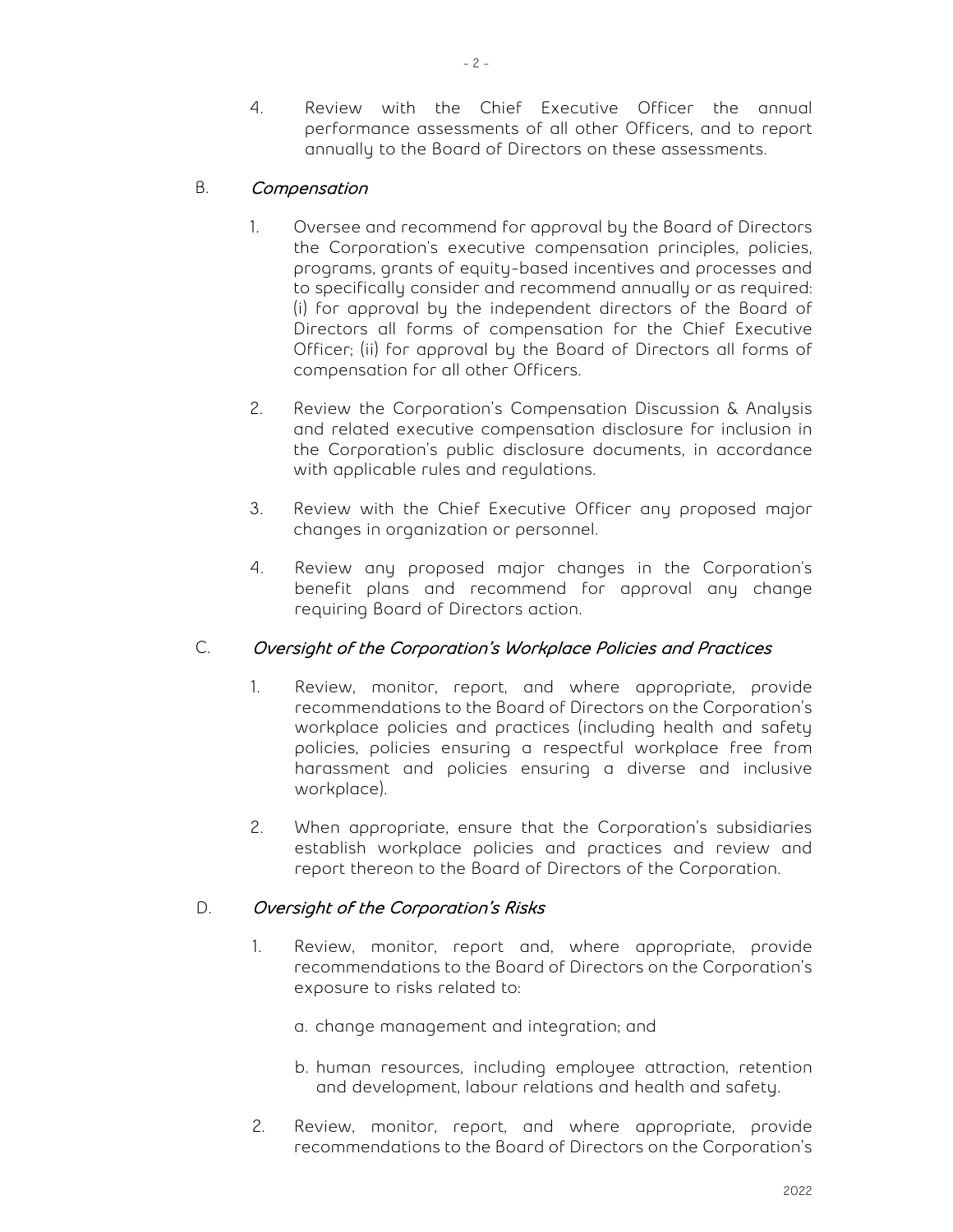4. Review with the Chief Executive Officer the annual performance assessments of all other Officers, and to report annually to the Board of Directors on these assessments.

## B. Compensation

- 1. Oversee and recommend for approval by the Board of Directors the Corporation's executive compensation principles, policies, programs, grants of equity-based incentives and processes and to specifically consider and recommend annually or as required: (i) for approval by the independent directors of the Board of Directors all forms of compensation for the Chief Executive Officer; (ii) for approval by the Board of Directors all forms of compensation for all other Officers.
- 2. Review the Corporation's Compensation Discussion & Analysis and related executive compensation disclosure for inclusion in the Corporation's public disclosure documents, in accordance with applicable rules and regulations.
- 3. Review with the Chief Executive Officer any proposed major changes in organization or personnel.
- 4. Review any proposed major changes in the Corporation's benefit plans and recommend for approval any change requiring Board of Directors action.

## C. Oversight of the Corporation's Workplace Policies and Practices

- 1. Review, monitor, report, and where appropriate, provide recommendations to the Board of Directors on the Corporation's workplace policies and practices (including health and safety policies, policies ensuring a respectful workplace free from harassment and policies ensuring a diverse and inclusive workplace).
- 2. When appropriate, ensure that the Corporation's subsidiaries establish workplace policies and practices and review and report thereon to the Board of Directors of the Corporation.

## D. Oversight of the Corporation's Risks

- 1. Review, monitor, report and, where appropriate, provide recommendations to the Board of Directors on the Corporation's exposure to risks related to:
	- a. change management and integration; and
	- b. human resources, including employee attraction, retention and development, labour relations and health and safety.
- 2. Review, monitor, report, and where appropriate, provide recommendations to the Board of Directors on the Corporation's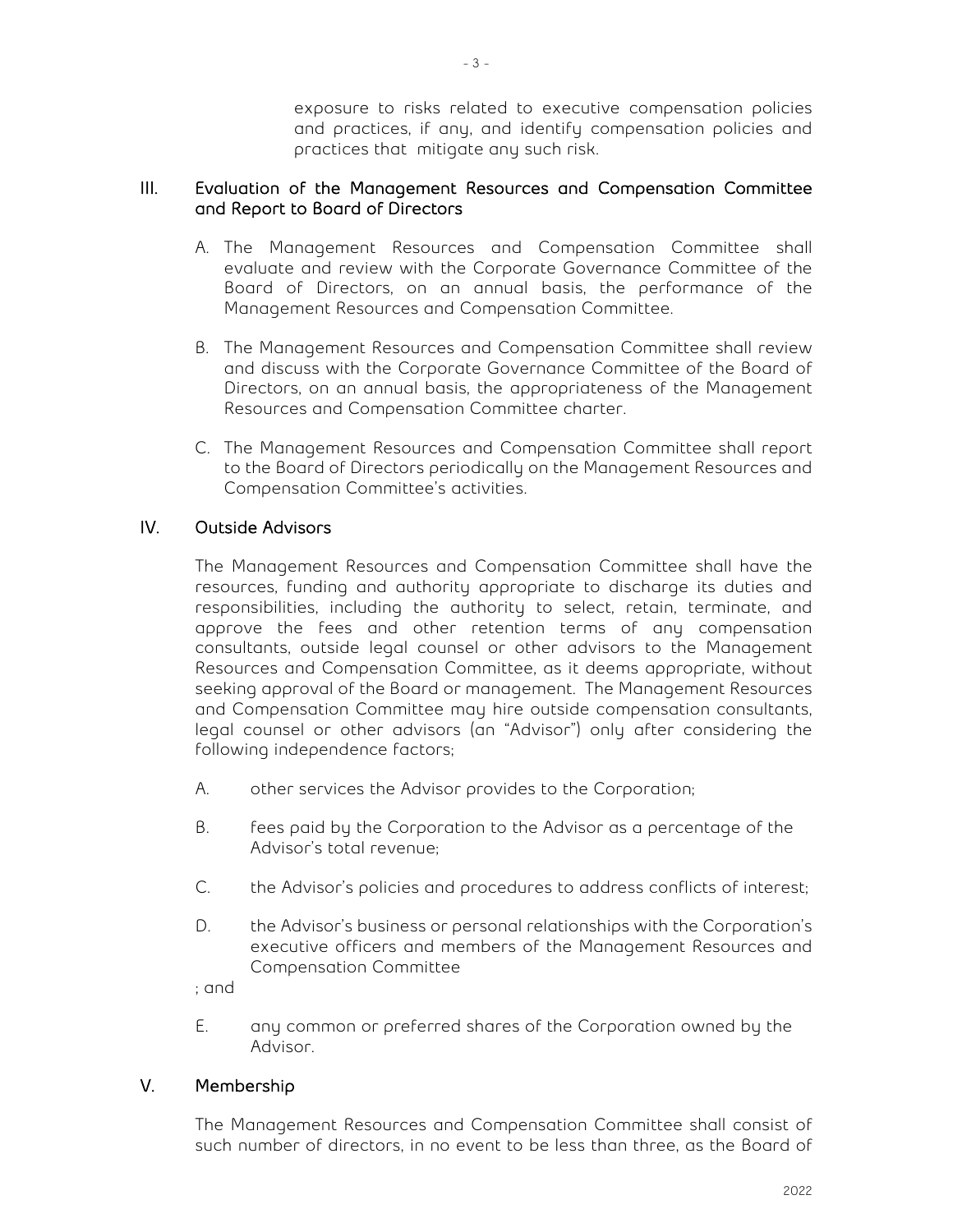exposure to risks related to executive compensation policies and practices, if any, and identify compensation policies and practices that mitigate any such risk.

## III. Evaluation of the Management Resources and Compensation Committee and Report to Board of Directors

- A. The Management Resources and Compensation Committee shall evaluate and review with the Corporate Governance Committee of the Board of Directors, on an annual basis, the performance of the Management Resources and Compensation Committee.
- B. The Management Resources and Compensation Committee shall review and discuss with the Corporate Governance Committee of the Board of Directors, on an annual basis, the appropriateness of the Management Resources and Compensation Committee charter.
- C. The Management Resources and Compensation Committee shall report to the Board of Directors periodically on the Management Resources and Compensation Committee's activities.

## IV. Outside Advisors

The Management Resources and Compensation Committee shall have the resources, funding and authority appropriate to discharge its duties and responsibilities, including the authority to select, retain, terminate, and approve the fees and other retention terms of any compensation consultants, outside legal counsel or other advisors to the Management Resources and Compensation Committee, as it deems appropriate, without seeking approval of the Board or management. The Management Resources and Compensation Committee may hire outside compensation consultants, legal counsel or other advisors (an "Advisor") only after considering the following independence factors;

- A. other services the Advisor provides to the Corporation;
- B. fees paid by the Corporation to the Advisor as a percentage of the Advisor's total revenue;
- C. the Advisor's policies and procedures to address conflicts of interest;
- D. the Advisor's business or personal relationships with the Corporation's executive officers and members of the Management Resources and Compensation Committee

; and

E. any common or preferred shares of the Corporation owned by the Advisor.

## V. Membership

The Management Resources and Compensation Committee shall consist of such number of directors, in no event to be less than three, as the Board of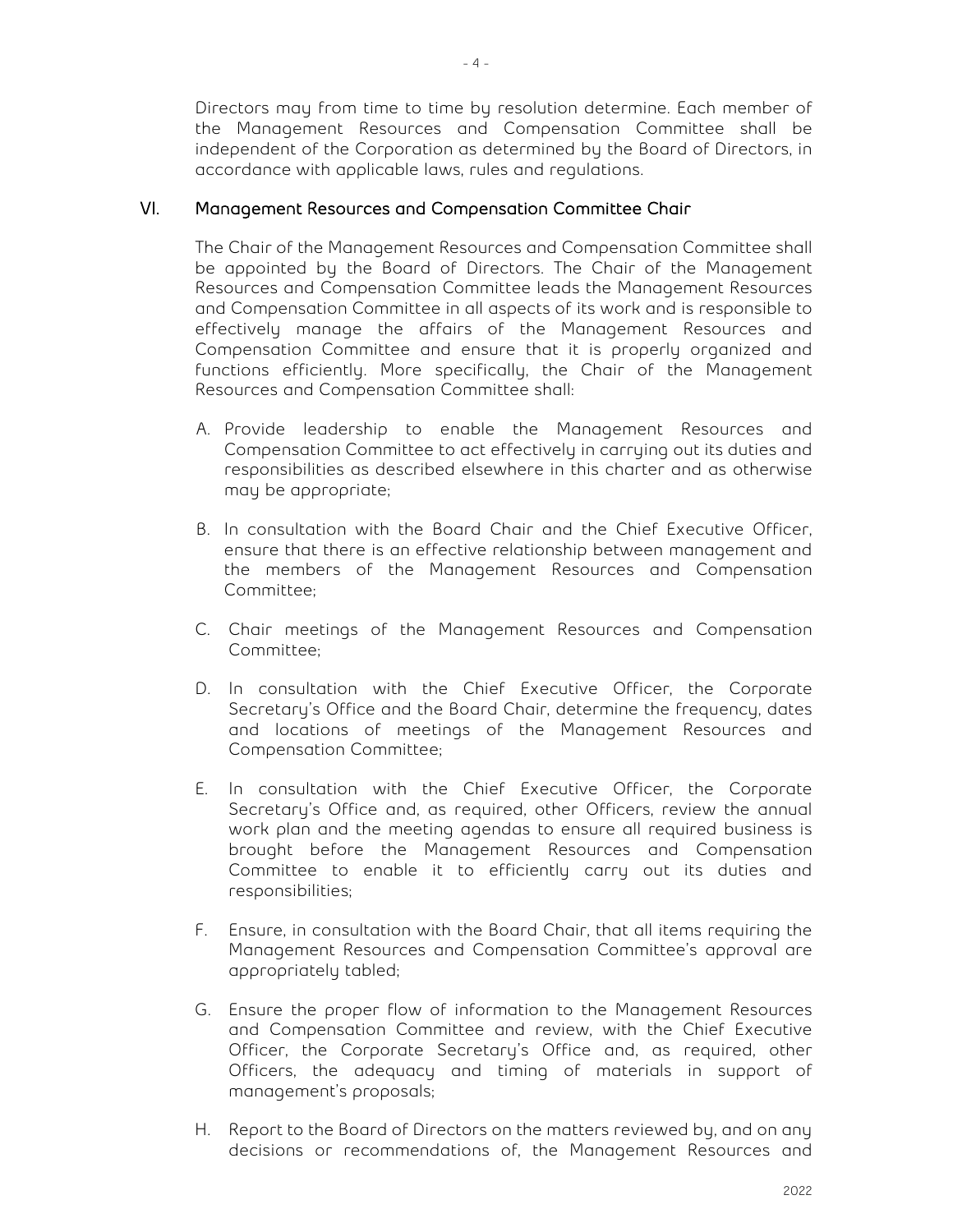Directors may from time to time by resolution determine. Each member of the Management Resources and Compensation Committee shall be independent of the Corporation as determined by the Board of Directors, in accordance with applicable laws, rules and regulations.

## VI. Management Resources and Compensation Committee Chair

The Chair of the Management Resources and Compensation Committee shall be appointed by the Board of Directors. The Chair of the Management Resources and Compensation Committee leads the Management Resources and Compensation Committee in all aspects of its work and is responsible to effectively manage the affairs of the Management Resources and Compensation Committee and ensure that it is properly organized and functions efficiently. More specifically, the Chair of the Management Resources and Compensation Committee shall:

- A. Provide leadership to enable the Management Resources and Compensation Committee to act effectively in carrying out its duties and responsibilities as described elsewhere in this charter and as otherwise may be appropriate;
- B. In consultation with the Board Chair and the Chief Executive Officer, ensure that there is an effective relationship between management and the members of the Management Resources and Compensation Committee;
- C. Chair meetings of the Management Resources and Compensation Committee;
- D. In consultation with the Chief Executive Officer, the Corporate Secretary's Office and the Board Chair, determine the frequency, dates and locations of meetings of the Management Resources and Compensation Committee;
- E. In consultation with the Chief Executive Officer, the Corporate Secretary's Office and, as required, other Officers, review the annual work plan and the meeting agendas to ensure all required business is brought before the Management Resources and Compensation Committee to enable it to efficiently carry out its duties and responsibilities;
- F. Ensure, in consultation with the Board Chair, that all items requiring the Management Resources and Compensation Committee's approval are appropriately tabled;
- G. Ensure the proper flow of information to the Management Resources and Compensation Committee and review, with the Chief Executive Officer, the Corporate Secretary's Office and, as required, other Officers, the adequacy and timing of materials in support of management's proposals;
- H. Report to the Board of Directors on the matters reviewed by, and on any decisions or recommendations of, the Management Resources and